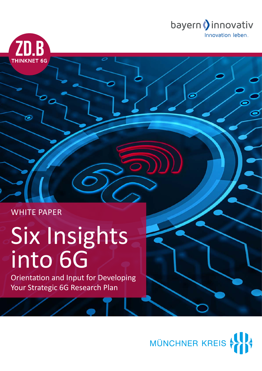

WHITE PAPER

**ZD.B** 

**THINKNET 6G** 

# Six Insights into 6G

Orientation and Input for Developing Your Strategic 6G Research Plan

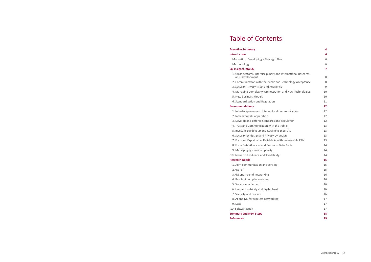## **[Executive Summary](#page-2-0) 4**

## **[Introduction](#page-3-0) 6**

Motivation: Developing a Strategic Plar [Methodology](#page-3-0) 6

## **[Six Insights into 6G](#page-3-0) 7**

- 1. Cross-sectoral, Interdisciplinary and [and Development](#page-4-0)
- 2. Communication with the Public and
- [3. Security, Privacy, Trust and Resilience](#page-4-0)
- 4. Managing Complexity, Orchestration
- [5. New Business Models](#page-5-0)
- [6. Standardization and Regulation](#page-5-0)

## **[Recommendations](#page-6-0) 12**

- 1. Interdisciplinary and Intersectoral Co
- [2. International Cooperation](#page-6-0)
- 3. Develop and Enforce Standards and
- 4. Trust and Communication with the F
- 5. Invest in Building up and Retaining E
- 6. Security-by-design and Privacy-by-de
- 7. Focus on Explainable, Reliable AI wit
- 8. Form Data Alliances and Common Da
- [9. Managing System Complexity](#page-7-0)
- 10. Focus on Resilience and Availability

## **[Research Needs](#page-7-0)**

- [1. Joint communication and sensing](#page-7-0)
- 2.6G IoT
- 3.6G end-to-end networking
- [4. Resilient complex systems](#page-8-0) 16
- [5. Service enablement](#page-8-0) 16
- [6. Human-centricity and digital trust](#page-8-0) 16
- [7. Security and privacy](#page-8-0) and  $16$
- [8. AI and ML for wireless networking](#page-8-0) 17
- [9. Data](#page-8-0) 17
- 10. Softwarization 17
- **[Summary and Next Steps](#page-9-0) 18**
- **[References](#page-9-0) 19**

|                               | 6  |
|-------------------------------|----|
| n                             | 6  |
|                               | 6  |
|                               | 7  |
| <b>International Research</b> | 8  |
| <b>Technology Acceptance</b>  | 8  |
| e                             | 9  |
| and New Technologies          | 10 |
|                               | 10 |
|                               | 11 |
|                               | 12 |
| ommunication                  | 12 |
|                               | 12 |
| Regulation                    | 12 |
| ublic                         | 13 |
| <i>s</i> pertise              | 13 |
| esign                         | 13 |
| th measurable KPIs            | 13 |
| ata Pools                     | 14 |
|                               | 14 |
|                               | 14 |
|                               | 15 |
|                               | 15 |
|                               | 15 |
|                               | 16 |

# Table of Contents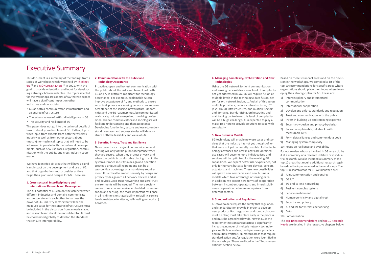<span id="page-2-0"></span>

# Executive Summary

This document is a summary of the findings from a series of workshops which were held by [Thinknet](https://www.bayern-innovativ.de/netzwerke-und-thinknet/uebersicht-digitalisierung/thinknet-6g)  [6G](https://www.bayern-innovativ.de/netzwerke-und-thinknet/uebersicht-digitalisierung/thinknet-6g) <sup>[1]</sup> and [MÜNCHNER KREIS](https://www.muenchner-kreis.de/)<sup>[2]</sup> in 2021, with the goal to provide orientation and input for developing a strategic 6G research plan. The topics selected for the workshops are aspects of 6G that we expect will have a significant impact on other industries and on society:

- 6G as both a communication infrastructure and a sensing infrastructure
- The extensive use of artificial intelligence in 6G
- The security and resilience of 6G

We have identified six areas that will have a significant impact on the development and use of 6G, and that organizations must consider as they begin their plans and designs for 6G. These are:

This paper does not go into the technical details of how to develop and implement 6G. Rather, it provides input from experts from both the wireless industry as well as from other sectors about (mostly) non-technical topics that will need to be addressed in parallel with the technical developments, such as new use cases, regulation, communication with the public, and cross-industry cooperation.

## **1. Cross-sectoral, Interdisciplinary and International Research and Development**

The full potential of 6G can only be achieved when different industries and domains communicate and cooperate with each other to harness the power of 6G. Industry sectors that will be the main use cases for the sensing infrastructure must be included in the discussion from an early stage, and research and development related to 6G must be coordinated globally to develop the standards that ensure interoperability.

## **2. Communication with the Public and Technology Acceptance**

Proactive, open and honest communication with the public about the risks and benefits of both 6G and AI is critically important for technology acceptance. For example, explainable AI can improve acceptance of AI, and methods to ensure security & privacy in a sensing network can improve acceptance of the sensing infrastructure. Opportunities and the 6G roadmap must be communicated realistically, not just evangelized. Involving professional science communicators and sociologists will facilitate understanding and then acceptance. Developing functioning, secure and easy-to-understand use-cases and success stories will demonstrate both the feasibility and value of 6G.

### **3. Security, Privacy, Trust and Resilience**

New concepts such as joint communication and sensing will only obtain public acceptance when they are secure, when they protect privacy, and when the public is comfortable placing trust in the systems. Proper security in design and operation creates a unique selling point and can be a geo-political advantage or a mandatory requirement. It is critical to embed security by design and privacy by design into all network devices and all end devices. Zero-trust networking and zero-trust environments will be needed. The more society comes to rely on immersive, embedded communication and sensing, the more important resilience in all its dimensions (availability, reliability, service levels, resistance to attacks, self-healing networks…) becomes.

## **4. Managing Complexity, Orchestration and New Technologies**

Using the 6G network for joint communication and sensing necessitates a new level of complexity not yet addressed in 5G. 6G will require fusion at multiple levels in the technology: data fusion, sensor fusion, network fusion, ... And all of this across multiple providers, network infrastructures, ICT (e.g., cloud) infrastructures, and multiple sectors and domains. Standardizing, orchestrating and maintaining control over this level of complexity will be a huge challenge. AI is expected to play a major role here to provide solutions to cope with complexity.

## **5. New Business Models**

6G technology will enable new use cases and services that the industry has not yet thought of, or that were not yet technically possible. As the technology advances and new insights are obtained, use cases will become more individualized and services will be optimized for the evolving 6G capabilities. We expect better user experience, not only for humans but also for IoT devices, sensors, actuators, and machines. These new possibilities will spawn new companies and new business models which take advantage of sensing data. In addition, we expect new forms of cooperation between incumbent operators and interdisciplinary cooperation between enterprises from different sectors.

### **6. Standardization and Regulation**

6G stakeholders require the surety that regulation and standardization provide in order to develop new products. Both regulation and standardization must be clear, must take place early in the process, and must be agreed worldwide. New in 6G is the requirement to standardize across a significantly increasing number of multiple network technologies, multiple operators, multiple sensor providers and multiple verticals. Numerous areas that require standardization and/or regulation were identified in the workshops. [These are listed in the "Recommen](#page-6-0)[dations" section below.](#page-6-0)

Based on these six impact areas and on the discussion in the workshops, we compiled a list of the top 10 recommendations for specific areas where organizations should place their focus when developing their strategic plan for 6G. These are:

- 1) Interdisciplinary and intersectoral communication
- 2) International cooperation
- 3) Develop and enforce standards and regulation
- 4) Trust and communication with the public
- 5) Invest in building up and retaining expertise
- 6) Security-by-design and privacy-by-design
- 7) Focus on explainable, reliable AI with measurable KPIs
- 8) Form data alliances and common data pools
- 9) Managing system complexity
- 10) Focus on resilience and availability

For our readers who are involved in 6G research, be it at a university, at a research institute or in industrial research, we also included a summary of the top 10 areas that require additional research, again based on the input received in the workshops. The top 10 research areas for 6G we identified are:

- 1) Joint communication and sensing
- 2) 6G IoT
- 3) 6G end-to-end networking
- 4) Resilient complex systems
- 5) Service enablement
- 6) Human-centricity and digital trust
- 7) Security and privacy
- 8) AI and ML for wireless networking
- 9) Data
- 10) Softwarization

## The top [10 Recommendations](#page-6-0) and top [10 Research](#page-7-0)

[Needs](#page-7-0) are detailed in the respective chapters below.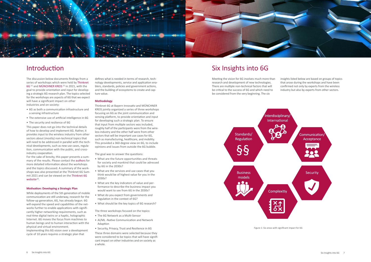<span id="page-3-0"></span>

# Introduction

The discussion below documents findings from a series of workshops which were held by [Thinknet](https://www.bayern-innovativ.de/netzwerke-und-thinknet/uebersicht-digitalisierung/thinknet-6g)  [6G](https://www.bayern-innovativ.de/netzwerke-und-thinknet/uebersicht-digitalisierung/thinknet-6g) <sup>[1]</sup> and [MÜNCHNER KREIS](https://www.muenchner-kreis.de/)<sup>[2]</sup> in 2021, with the goal to provide orientation and input for developing a strategic 6G research plan. The topics selected for the workshops are aspects of 6G that we expect will have a significant impact on other industries and on society:

For the sake of brevity, this paper presents a summary of the results. Please contact the [authors](#page-10-0) for more detailed information about the workshops and the topics discussed. A summary of the workshops was also presented at the Thinknet 6G Summit 2021 and can be viewed on the [Thinknet 6G](https://www.bayern-innovativ.de/de/netzwerke-und-thinknet/uebersicht-digitalisierung/thinknet-6g/veranstaltung/summit-event-thinknet-6g#!review)   $website<sup>[3]</sup>$  $website<sup>[3]</sup>$ .

- 6G as both a communication infrastructure and a sensing infrastructure
- The extensive use of artificial intelligence in 6G
- The security and resilience of 6G

This paper does not go into the technical details of how to develop and implement 6G. Rather, it provides input to the wireless industry from other sectors about (mostly) non-technical topics that will need to be addressed in parallel with the technical developments, such as new use cases, regulation, communication with the public, and crossindustry cooperation.

## **Motivation: Developing a Strategic Plan**

While deployments of the 5th generation of mobile communication are still underway, research for the follow-up generation, 6G, has already begun. 6G will expand the speed and capabilities of the networks further to enable applications with significantly higher networking requirements, such as real-time digital twins or a haptic, holographic Internet. 6G moves the focus from machines to human beings and to human interaction with the physical and virtual environment.

Implementing this 6G vision over a development cycle of 10 years requires a strategic plan that

defines what is needed in terms of research, technology developments, service and application enablers, standards, policies and government actions, and the building of ecosystems to create and capture value.

## **Methodology**

Thinknet 6G at Bayern Innovativ and MÜNCHNER KREIS jointly organized a series of three workshops focusing on 6G as the joint communication and sensing platform, to provide orientation and input for developing such a strategic plan. To ensure that input from multiple sectors was included, roughly half of the participants were from the wireless industry and the other half were from other sectors that will be important use cases for 6G, such as manufacturing, healthcare, and mobility. This provided a 360-degree view on 6G, to include opinions and issues from outside the 6G bubble.

The goal was to answer the questions:

- What are the future opportunities and threats for society and mankind that could be adressed by 6G in the 2030s?
- What are the services and use cases that you think would be of highest value for you in the 2030s?
- What are the key indicators of value and performance to describe the business impact you would want to see from 6G in the 2030s?
- What do you expect from governments and regulation in the context of 6G?
- What should be the key topics of 6G research?

The three workshops focused on the topics:

- The 6G Network as a Multi-Sensor
- AI/ML -Native Communication and Network Adaption
- Security, Privacy, Trust and Resilience in 6G

These three domains were selected because they were considered to be topics that will have significant impact on other industries and on society as a whole.

# Six Insights into 6G

Meeting the vision for 6G involves much more than research and development of new technologies. There are multiple non-technical factors that will be critical to the success of 6G and which need to be considered from the very beginning. The six



insights listed below are based on groups of topics that arose during the workshops and have been confirmed not only by experts from the wireless industry but also by experts from other sectors.

Figure 1: Six areas with significant impact for 6G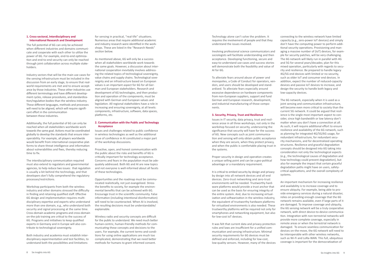## <span id="page-4-0"></span>**1. Cross-sectoral, Interdisciplinary and International Research and Development**

The full potential of 6G can only be achieved when different industries and domains communicate and cooperate with each other to utilize the power of 6G. For example, end-to-end optimization and end-to-end security can only be reached through joint collaboration across multiple stakeholders.

Industry sectors that will be the main use cases for the sensing infrastructure must be included in the discussion from an early stage, to ensure that realworld requirements are met and to ensure acceptance by those industries. These other industries use different terminology and have different development cycles, release procedures, and standardization/regulation bodies than the wireless industry. These different languages, methods and processes will need to be aligned, which will require significant effort in the communication between these industries.

Additionally, the full potential of 6G can only be reached when all stakeholders worldwide work towards the same goal. Actions must be coordinated globally to develop the standards that ensure interoperability. For example, all players worldwide would benefit from international cooperative platforms to share threat intelligence and information about vulnerabilities and fixes, thereby reducing time to fix.

The interdisciplinary communication required must also extend to regulators and governmental agencies, to help reduce two issues: that regulation is usually a bit behind the technology, and that developers don't fully comprehend the regulatory processes/restrictions.

Workshop participants from both the wireless industry and other domains stressed the difficulty in finding and retaining qualified staff. Effective 6G design and implementation requires multidisciplinary expertise and experts who understand more than one domain, e.g., who understand both security and signal processing at the same time. Cross-domain academic programs and cross-domain on-the-job training are critical to the success of 6G. Programs and initiatives to keep qualified experts in Germany and in Europe will also contribute to technological sovereignty.

Both industry and academia must establish interdisciplinary experimentation and test facilities, to understand both the possibilities and limitations

for sensing in practical, "real-life" situations. Numerous areas that require additional academic and industry research were identified in the workshops. These are listed in the "[Research Needs](#page-7-0)" section below.

> Proper security in design and operation creates a unique selling point and can be a geo-political advantage or a mandatory requirement.

As mentioned above, 6G will only be a success when all stakeholders worldwide work towards the same goals. However, a discussion about international cooperation inevitably involves addressing the related topics of technological sovereignty, value chains and supply chains. Technological sovereignty and an infrastructure based on European values is an important aspect for 6G for all German and European stakeholders. Research and development of 6G technologies, and then production and operation of the components, must be aligned with German and European values and legislation. All regional stakeholders have a role in increasing and ensuring sovereignty, at all levels: components, infrastructure, software, data spaces, platforms, etc.

## **2. Communication with the Public and Technology Acceptance**

Issues and challenges related to public confidence in wireless technologies as well as the additional issue of confidence in AI constituted a major part of the workshop discussions.

Proactive, open, and honest communication with the public about the risks and benefits of 6G is critically important for technology acceptance. Concerns and fears in the population must be adequately addressed. Both 6G and AI are new topics and not everyone is well-informed about all facets of these technologies.

Opportunities and the roadmap must be communicated realistically, not just evangelized. Stress the benefits to society, for example the environmental benefits that can be achieved with 6G. Encourage trust in the scientific community. False information (including intentional disinformation) will need to be counteracted. When AI is involved, the resulting decisions must be understandable/ explainable.

Wireless radio and security concepts are difficult for the public to understand. We need much better human-centric, human-friendly methods for communicating these concepts and decisions to the users. For example, the current terms-and-conditions for using online applications are much too complicated, demonstrating that we need better methods for humans to grant informed consent.

Technology alone can't solve the problem. It requires the involvement of people and that they understand the issues involved.

Involving professional science communicators and sociologists will facilitate understanding and then acceptance. Developing functioning, secure and easy-to-understand use-cases and success stories will demonstrate both the feasibility and value of AI for 6G.

To alleviate fears around abuse of power and monopolies, a Code of Conduct for operators, vendors, and users should be developed and standardized. To alleviate fears especially around excessive dependence on hardware components from non-European suppliers, support and fund German and European research, development, and industrial manufacturing of those components.

## **3. Security, Privacy, Trust and Resilience**

Issues in IT security, data privacy, trust and resilience arose in all three workshops, not only in the workshop focused on security, underscoring the significance that security will have for the success of 6G. New concepts such as joint communication and sensing will only obtain public acceptance when they are secure, when they protect privacy, and when the public is comfortable placing trust in the systems.

It is critical to embed security by design and privacy by design into all network devices and all end devices. Zero-trust networking and zero-trust environments will be needed. Trustworthy hardware platforms would provide a trust anchor that can be used as the basis for ensuring integrity of the entire system. And, due to increasing virtualization and softwarization in the wireless industry, the equivalent of trustworthy hardware platforms for virtualized environments is also needed. These trustworthy platforms will be required not only for smartphones and networking equipment, but also for low-cost IoT devices.

It was felt that current data and privacy protection rules and laws are insufficient for a unified communication and sensing infrastructure. Minimal security requirements for 6G devices must be defined and enforced, including for low-cost, low-quality sensors. However, many of the devices

connecting to the wireless network have limited capacity (e.g., zero-power IoT devices) and simply don't have the computing power to perform additional security operations. Provisioning and managing a massive number of (IoT) devices, for example for security patches, will be very challenging. The 6G network will likely run in parallel with 4G and 5G for several years/decades; plan for this mixed operation, particularly with regards to security and resilience. Be prepared to handle legacy 4G/5G end devices with limited or no security, such as older IoT and consumer end devices. In addition, expect the number of reduced-capacity devices and passive IoT devices to increase, and design the security to handle both legacy and low-capacity devices.

The 6G network, especially when it is used as a joint sensing and communication infrastructure, will become even more critical to society than the current 5G network. It could be argued that resilience is the single most important aspect to consider, since high bandwidth or low latency don't matter when you don't have a connection at all. As such, it will require additional effort to ensure resilience and availability of the 6G network, such as planning for integrated 4G/5G/6G usage, for redundant infrastructure, for redundant security mechanisms, and for decentralized operating structures. Resilience and graceful degradation concepts should be designed into 6G taking into consideration not only the technological aspects (e.g., the technological causes of degradation and how technology could prevent degradation), but also for example the impact that certain graceful degradation paths might have on users, safetycritical applications, and the overall complexity of systems.

An important mechanism for increasing resilience and availability is to increase coverage and to ensure ubiquity. For example, being able to provide emergency services during a natural disaster, relies on providing enough coverage that the 6G network remains available, even if large parts of it are damaged. To improve coverage and ubiquity, the 6G sensing network will be a truly cooperative network, with direct device-to-device communication. Integration with non-terrestrial networks will provide more complete coverage, especially in remote areas or when the terrestrial network is damaged. To ensure seamless communication for devices on-the-move, the 6G network will need to be interoperable with other wireless networks, such as Wi-Fi and LoRa-WAN. This full, ubiquitous coverage is important for the democratization of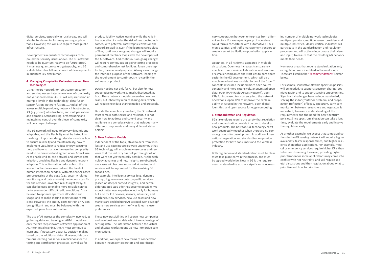<span id="page-5-0"></span>digital services, especially in rural areas, and will also be fundamental for many sensing applications. However, this will also require more public infrastructure.

Developments in quantum technologies compound the security issues above. The 6G network needs to be quantum-ready to be future-proof. It must use quantum-safe cryptography, and 6G stakeholders should keep abreast of developments in quantum key distribution.

## **4. Managing Complexity, Orchestration and New Technologies**

Using the 6G network for joint communication and sensing necessitates a new level of complexity not yet addressed in 5G. 6G will require fusion at multiple levels in the technology: data fusion, sensor fusion, network fusion, ... And all of this across multiple providers, network infrastructures, ICT (e.g., cloud) infrastructures, and multiple sectors and domains. Standardizing, orchestrating and maintaining control over this level of complexity will be a huge challenge.

The 6G network will need to be very dynamic and adaptable, and this flexibility must be baked into the design. Important design decisions such as how to ensure reliability and maintainability, how to implement QoS, how to reduce energy consumption, and how to manage the resulting complexity need to be discussed and agreed upon. 6G will use AI to enable end-to-end network and service optimization, providing flexible and dynamic network adaption. This optimization reduces both the amount of hardware needed and the level of human interaction needed. With efficient AI-based pre-processing at the edge (e.g., security related monitoring and data analysis) the network can filter and remove unwanted results right away. AI can also be used to enable more reliable connectivity even under difficult radio conditions. AI can be used to optimize spectrum allocation and usage, and to make sharing spectrum more efficient. However, the energy costs to train an AI can be significant and must be balanced with the expected gains from automation.

The use of AI increases the complexity involved, as gathering data and training an AI/ML model are only the first steps towards effective application of AI. After initial training, the AI must continue to learn and, if necessary, adapt its decision-making based on the additional data. However, this continuous learning has serious implications for the testing and certification processes, as well as for

product liability. Active learning while the AI is in live operation includes the risk of unexpected outcomes, with potential catastrophic effects on the network reliability. Even if the learning takes place offline, continuous on-going changes will require permanent feedback loops with the developers of the AI software. And continuous on-going changes will require continuous on-going testing processes and comprehensive test facilities. Taken one step further, the continually-updated AI may even change the intended purpose of the software, leading to the requirement to continuously re-certify the software or product.

Data is needed not only for AI, but also for new cooperative networks (e.g., mesh, distributed, ad hoc). These network models can enable new use cases, but inherently require sharing data, which will require new data sharing models and protocols.

Despite the complexity involved, the 6G network must remain both secure and resilient. It is not clear how to address end-to-end security and resilience in a complex system that includes many different components and many different stakeholders.

## **5. New Business Models**

Independent of the topic, stakeholders from wireless and use-case industries were unanimous that 6G technology will enable new use cases and services that the industry has not yet thought of, or that were not yet technically possible. As the technology advances and new insights are obtained, use cases will become more individualized and services will be optimized for the evolving 6G capabilities.

For example, intelligent services (e.g., dynamic pricing), higher-value context-specific services (based on deeper context insights), and betterdifferentiated QoS offerings become possible. We expect better user experience, not only for humans but also for IoT devices, sensors, actuators, and machines. New services, new use cases and new markets are enabled using AI. AI could even develop/ create new services on-the-fly as it learns user preferences.

These new possibilities will spawn new companies and new business models which take advantage of sensing data. The interaction between the virtual and physical worlds opens up new immersive communications.

In addition, we expect new forms of cooperation between incumbent operators and interdisciplinary cooperation between enterprises from different sectors. For example, a group of operators could form a consortium with automotive OEMs, municipalities, and traffic management vendors to create a smart traffic-flow optimization application.

Openness, in all its forms, appeared in multiple discussions. Openness increases transparency, enables cross-domain collaboration, and empowers smaller companies and start-ups to participate easier in the 6G development, which will also enable new business models. Some of the "open" concepts discussed included more open source generally and more extensively, anonymized open data, open RAN (Radio Access Network), open KPIs for increased transparency into the network operations, open KPIs to improve the explainability of AI used in the network, open digital identities, and open source for edge computing.

## **6. Standardization and Regulation**

6G stakeholders require the surety that regulation and standardization provide in order to develop new products. The best tools & technology can't work seamlessly together when there are no common grounds for development. In addition, international regulation and standardization provide protection for both consumers and the wireless industry.

Both regulation and standardization must be clear, must take place early in the process, and must be agreed worldwide. New in 6G is the requirement to standardize across a significantly increas-

ing number of multiple network technologies, multiple operators, multiple sensor providers and multiple industries. Ideally, vertical industries will participate in the standardization and regulation processes and will actively incorporate their views and input, to ensure that the resulting 6G network meets their needs.

Numerous areas that require standardization and/ or regulation were identified in the workshops. These are listed in the ["Recommendations"](#page-6-0) section below.

For example, innovative, flexible spectrum policies will be needed, to support spectrum sharing, cognitive radio, and to support sensing opportunities. Significant challenges here include massive IoT, solving the indoor/outdoor problem, and propagation (reflection) of legacy spectrum. Early communication between researchers and regulators is important, to ensure understanding of the requirements and the need for new spectrum policies. Since spectrum allocation can take a long time, evaluate the requirements early and involve the regulators early.

As another example, we expect that some applications in the 6G sensing network will require higher availability, faster response times, and higher resilience than other applications. For example, medical or emergency services require higher KPIs than television streaming. However, providing higher prioritization for some applications may come into conflict with net neutrality, and will require societal discussions and then regulation about what to prioritize and how to prioritize.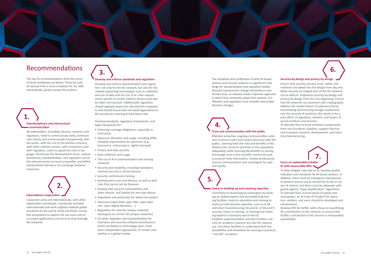<span id="page-6-0"></span>

# Recommendations

The top 10 recommendations from the series of three workshops are below. These are only an excerpt from a more complete list. For additional details, please contact the authors.

All stakeholders, including industry, research, and regulators, need to communicate early, communicate clearly, and communicate transparently, with the public, with the rest of the wireless industry, with other industry sectors, with researchers and with regulators. Learn to speak the other's language. Harmonize the development cycles, release procedures, standardization, and regulation across the relevant sectors as much as possible, and define standardized interfaces for exchange between industries.

Cooperate early and internationally, with other stakeholders worldwide. Coordinate activities internationally and work together towards global standards for 6G and AI. Build and foster innovative ecosystems to explore 6G use cases and to co-create applications and services that leverage 6G networks.

## **Develop and enforce standards and regulation**

Develop and enforce standardization and regulation, not only for the 6G network, but also for the related supporting technologies such as collection and use of data and the use of AI. User requirements specific to certain industry sectors must also be taken into account. Additionally, regulation should regularly assess the risks that 6G is exposed to and should ensure that risk-based approaches to 6G security are covering at least these risks.

## **Interdisciplinary and intersectoral communication 1.**

Develop standards, regulatory frameworks, and legal frameworks for:

# **International cooperation 2.**

- Enforcing coverage obligations, especially in rural areas
- Spectrum allocation and usage, including differentiated requirements for spectrum (e.g., licensed vs. unlicensed vs. lightly licensed)
- Privacy and data security
- Data collection and usage
- The use of AI in communication and sensing networks
- Security and reliability, including mandatory minimal security in all end devices
- Security conformance testing
- Dealing with errors and failures, as well as with risks that cannot yet be foreseen
- Dealing with security vulnerabilities and cyber-attacks, and liability for zero-day attacks
- Regulation and protection for white-hat hackers
- Openness (open RAN, open APIs, open data sets, open digital identities, ...)
- Regulation for new 6G campus networks (analogous to current 5G campus networks)
- EU-wide regulation and standardization for interfaces and security software architectures which are based on technology-open, hardware-independent approaches, to remain competitive in a global market



The testability and certification of both AI-based systems and security systems is a significant challenge for standardization and regulation bodies. Security requirements change constantly as new threats arise, so industry needs a dynamic approach in which they constantly adapt their systems. Certification and regulation must consider and enable dynamic changes.

Maintain proactive, ongoing communication activities to ensure open and honest discourse with the public, covering both the risks and benefits of 6G. Address the concerns and fears in the population adequately, while stressing the benefits to society. Encourage trust in the scientific community and counteract false information. Involve professional science communicators and sociologists for opti-

mal results.

## **Invest in building up and retaining expertise**

Contribute to technological sovereignty by building up skilled experts and by establishing testing facilities. Invest in education and training to build up multi-domain expertise, such as in 6G and smart manufacturing, 6G and AI, or 6G and IT security. Invest in training, re-training and retaining experts in Germany and in the EU. Establish experimentation and test facilities, not only for academic research but also for industry use. Use these facilities to understand both the possibilities and limitations for sensing in practical, "real-life" situations.

## **Security-by-design and privacy-by-design**

## **Trust and communication with the public 4.**

Ensure that security, privacy, trust, safety, and resilience are baked into the design from day one. Make security an integral part of the 6G network, not an add-on. Emphasize security-by-design and privacy-by-design from the very beginning. Ensure that 6G networks use quantum-safe cryptography Address the market failure of cybersecurity by incentivizing and ensuring enough investments into the security of products; this needs to be a joint effort of regulation, vendors, and buyers of secure products and services.

To alleviate fears around hardware components from non-European suppliers, support German and European research, development, and industrial manufacturing.

To help mitigate risks due to AI, develop quality indicators and standards for AI-based systems. In addition, there must be emergency mechanisms to prevent serious issues should the AI fail or run out of control, and there must be adequate safeguards against "hype amplification" algorithms. To alleviate fears around abuse of power and monopolies, an AI Code of Conduct for operators, vendors, and users should be developed and standardized.

**Focus on explainable,reliable AI with measurable KPIs 7.** 

Develop KPIs for AI/ML, with a focus on quantifying AI's contribution to the network, to ensure that AI/ML's contribution to 6G services is measurable/ quantifiable.

# **5.**

**6.**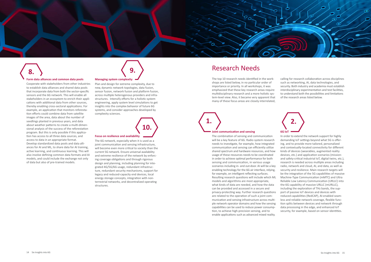<span id="page-7-0"></span>

### **Form data alliances and common data pools**

Cooperate with stakeholders from other industries to establish data alliances and shared data pools that incorporate data from both the sector-specific sensors and the 6G network. This will enable all stakeholders in an ecosystem to enrich their applications with additional data from other sources, thereby enabling cross-sectoral applications. For example, an application that monitors reforestation efforts could combine data from satellite images of the area, data about the number of seedlings planted in previous years, and data about weather patterns to create a multi-dimensional analysis of the success of the reforestation program. But this is only possible if this application has access to all three data sources, and access to data in an appropriate format. Develop standardized data pools and data alliances for AI and ML, to share data for AI training, active learning, and continuous learning. This will also involve defining common data formats and AI models, and could include the exchange not only of data but also of pre-trained models.

## **Managing system complexity**

Plan and design for extreme complexity, due to new, dynamic network topologies, data fusion, sensor fusion, network fusion and platform fusion, across multiple heterogenous providers and infrastructures. Intensify efforts for a holistic system engineering, apply system level simulations to get insights into the complex behavior of future 6G systems, and consider approaches developed by complexity sciences.

## **Focus on resilience and availability**

The 6G network, especially when it is used as a joint communication and sensing infrastructure, will become even more critical to society than the current 5G network. Ensure universal availability and extreme resilience of the network by enforcing coverage obligations and through rigorous design and planning, including planning for integrated 4G/5G/6G usage, redundant infrastructure, redundant security mechanisms, support for legacy and reduced-capacity end devices, local energy storage concepts, integration with nonterrestrial networks, and decentralized operating structures.

**9.** 

**10.** 

## Research Needs

The top 10 research needs identified in the workshops are listed below, in no particular order of importance or priority. In all workshops, it was emphasized that these key research areas require multidisciplinary research and a more holistic system-level view. Also, it became very apparent that many of these focus areas are closely interrelated,

calling for research collaboration across disciplines such as networking, AI, data technologies, and security. Both industry and academia must establish interdisciplinary experimentation and test facilities, to understand both the possibilities and limitations of the research areas listed below.

### **Joint communication and sensing**

The combination of sensing and communication will be a key feature of 6G. Radio system research needs to investigate, for example, how integrated communication and sensing can efficiently utilize shared spectrum and hardware resources, and how usage of these resources needs to be coordinated in order to achieve optimal performance for both sensing and communication, in various usage scenarios including in- and out-door. AI will be a key enabling technology for the 6G air interface, relying, for example, on intelligent reflecting surfaces. Resulting research questions will include which ML models and algorithms are most appropriate, what kinds of data are needed, and how the data can be provided and accessed in a secure and privacy-protecting way. Further research questions are related to the operation of such a joint communication and sensing infrastructure across multiple network operator domains and how the sensing capabilities can be used to reduce power consumption, to achieve high-precision sensing, and to enable applications such as advanced mixed reality.



In order to extend the network support for highly demanding IoT settings beyond what 5G is offering, and to provide more tailored, personalized and contextually-located connectivity for different kinds of devices (wearables, augmented reality devices, etc.) and application scenarios (missionand safety-critical industrial IoT, digital twins, etc.), research is needed across multiple areas including radio, network and cloud, AI, and data, as well as security and resilience. Main research targets will be the integration of the 5G capabilities of massive Machine-Type Communication (mMTC) and Ultra Reliable Low Latency Communication (URLLC) into the 6G capability of massive URLLC (mURLLC), including the exploration of THz bands, the support of passive IoT devices and devices with reduced capabilities (RedCAP), AI-enabled seamless and reliable network coverage, flexible function splits between devices and network through data processing in the edge, and enhanced IoT security, for example, based on sensor identities.

**8.**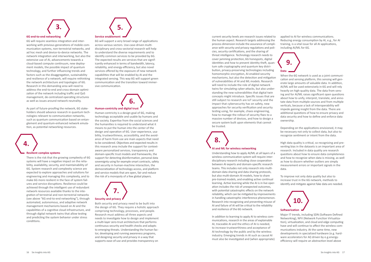6G will require seamless integration and interworking with previous generations of mobile communication systems, non-terrestrial networks, and ad hoc mesh and device-to-device networks. The network integration and interworking, but also the extensive use of AI, advancements towards a cloud-based compute continuum, new deployment models, the possible impact of quantum technology, and further influencing trends and factors such as the disaggregation, sustainability and resilience of a network, will require rethinking the network architecture and topologies of 6G. Research in this demanding area will need to address the end-to-end and cross-domain optimization of the network including traffic and QoS management, de-centralized operating structures as well as issues around network neutrality.

As part of future-proofing the network, 6G stakeholders should advance research in quantum technologies relevant to communication networks, such as quantum communication based on entanglement and quantum-enhanced network emulation, as potential networking resources.

## **Resilient complex systems**

There is the risk that the growing complexity of 6G systems will have a negative impact on the reliability, availability, security, and maintainability of 6G. System research and complexity science are expected to explore approaches and solutions for engineering and managing this complexity, and to make 6G more resilient in the face of system failures and service disruptions. Resilience could be achieved through the intelligent use of redundant network resources available thanks to the integration of terrestrial and non-terrestrial networks (see above "6G end-to-end networking"), through automated, autonomous, and adaptive network management mechanisms based on AI and the capabilities of a cognitive cloud infrastructure, and through digital network twins that allow testing and predicting the system behavior under stress conditions.

# <span id="page-8-0"></span>**6G end-to-end networking 3.**

6G will support a very broad range of applications across various sectors. Use-case-driven multidisciplinary and cross-sectorial research will help to understand the diverse requirements and to identify common services to be provided by 6G. The expected results are services that are significantly enhanced in terms of bandwidth, latency, reliability, and energy-efficiency, but also novel services offered by the exposure of new network capabilities that will be enabled by AI and the integrated sensing. This way 6G will support green communication and the transition toward immersive communication.

## **Human-centricity and digital trust**



Human-centricity is a design goal of 6G, making technology acceptable and usable by humans and the society. Expertise from the social sciences and the humanities is required to understand what it means to put the human into the center of the design and operation of 6G. User experience, usability, trustworthiness, accessibility, and the avoidance of harm from use are main aspects that need to be considered. Objectives and expected results in this research area include the support for contextaware personalized services, transparency and domain-specific trust models and frameworks, the support for detecting disinformation, personal data sovereignty using for example smart contracts, safety and security in human-machine interaction, the democratization of technology access, and platform and service models that are open, fair and reduce the risk of a monopoly of a few global players.

Both security and privacy need to be built into the design of 6G. They require a holistic approach comprising technology, processes, and people. Research must address all three aspects and needs to investigate how to design and implement a multi-layer zero-trust architecture that performs continuous security and health checks and adapts to emerging threats. Understanding the human factor, developing and running awareness programs, and designing security and privacy in a way that supports ease-of-use and provides transparency on

# **Security and privacy 7.**

**4.** 

**6.** 

current security levels are research issues related to the human aspect. Research targets addressing the process dimension include the assurance of compliance with security and privacy regulations and policies, security certifications, and the sharing of threat intelligence. Technology research needs to cover jamming protection, 6G honeypots, digital identities and how to prevent identity theft, quantum safe cryptography and quantum key distribution, privacy-preserving technologies including homomorphic encryption, AI-enabled security mechanisms, but also the detection and mitigation of vulnerabilities of AI and ML models. Research will need to include the role of digital network twins for simulating cyber-attacks, but also understanding the new vulnerabilities that digital twin concepts might introduce. Specific issues that are still subject to research are IoT security and the impact that cybersecurity has on safety, new approaches for security verification and security testing using, for example, chaos engineering, how to manage the rollout of security fixes to a massive number of devices, and how to design a secure system built upon elements that cannot be trusted.

## **AI and ML for wireless networking**

Understanding how to apply AI/ML at all layers of a wireless communication system will require interdisciplinary research including close cooperation between AI experts and domain-specific research teams. This includes not only research into multidomain data sharing and data sharing protocols, but also multi-domain AI models, how to share pre-trained models, and enabling active continual learning. Active learning while the AI is in live operation includes the risk of unexpected outcomes, with potential catastrophic effects on the network reliability, which can be mitigated by improvements in handling catastrophic interference phenomenon. Research into recognizing and preventing misuse of AI and failure of AI will be critical to the reliability and resilience of the 6G network.

In addition to learning to apply AI to wireless communications, research in the areas of explainable AI, traceable AI and the ethics of AI is needed, to increase trustworthiness and acceptance of AI technology by the public and by the wireless industry. Emerging trends in AI such as causal AI must also be investigated and (when appropriate)

applied to AI for wireless communications. Reducing energy consumption by AI, e.g., for AI training, is a vital issue for all AI applications, including AI/ML for 6G.

When the 6G network is used as a joint communication and sensing platform, this sensing will generate large amounts of valuable data. In addition, AI/ML will be used extensively in 6G and will rely heavily on high-quality data. The data from sensing and for AI/ML raises significant open questions about how to unify, interpret, translate, and annotate data from multiple sources and from multiple verticals, because a lack of interoperability will impede gaining insight from the data. There are additional questions of how to ensure privacy and data security and how to define and enforce data ownership.

Depending on the applications envisioned, it may be necessary not only to collect data, but also to recognize sentiment or intent from the data.



High data quality is critical, so recognizing and preventing bias in the datasets is an important area of research. Included in data quality are research questions about how to ensure data completeness and how to recognize when data is missing, as well as how to discern whether outliers are simply measurement errors or important signals in the data.

To improve not only data quality but also to increase trust in the 6G network, methods to identify and mitigate against fake data are needed.



Major IT trends, including SDN (Software Defined Networking), NFV (Network Function Virtualization), virtualization, and cloud and edge computing have and will continue to affect the wireless communications industry. At the same time, new developments in specialized hardware (e.g. hardware accelerators for AI) driven by e.g.energyefficiency will require an abstraction level above

# **8.**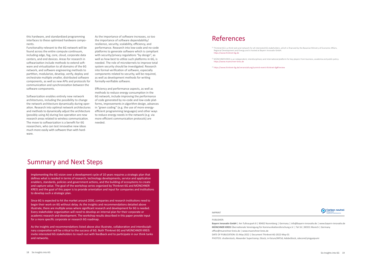<span id="page-9-0"></span>this hardware, and standardized programming interfaces to these optimized hardware components.

Functionality relevant to the 6G network will be found across the entire compute continuum, including edge, fog, core, cloud, corporate data centers, and end devices. Areas for research in softwarization include methods to extend software and virtualization to all domains of the 6G network, and software engineering methods to partition, modularize, develop, verify, deploy and orchestrate multiple smaller, distributed software components, as well as new APIs and protocols for communication and synchronization between the software components.

Softwarization enables entirely new network architectures, including the possibility to change the network architecture dynamically during operation. Research into optimal network architectures and methods to dynamically adjust the architecture (possibly using AI) during live operation are new research areas related to wireless communication. The move to softwarization is a benefit for 6G researchers, who can test innovative new ideas much more easily with software than with hardware.

Implementing the 6G vision over a development cycle of 10 years requires a strategic plan that defines what is needed in terms of research, technology developments, service and application enablers, standards, policies and government actions, and the building of ecosystems to create and capture value. The goal of the workshop series organized by Thinknet 6G and MÜNCHNER KREIS and the goal of this paper is to provide orientation and input for companies and institutions to develop such a strategic plan.

Since 6G is expected to hit the market around 2030, companies and research institutions need to begin their work on 6G without delay. As the insights and recommendations detailed above illustrate, there are multiple areas where significant research and development for 6G is needed. Every stakeholder organization will need to develop an internal plan for their corporate or academic research and development. The workshop results described in this paper provide input for a more specific corporate or research 6G roadmap.

As the insights and recommendations listed above also illustrate, collaboration and interdisciplinary cooperation will be critical to the success of 6G. Both Thinknet 6G and MÜNCHNER KREIS invite interested 6G stakeholders to reach out with feedback and to participate in our think tanks and networks.

As the importance of software increases, so too the importance of software dependability/ resilience, security, scalability, efficiency, and performance. Research into low-code and no-code platforms to generate software which is compliant with security/privacy regulations "by design", as well as how best to utilize such platforms in 6G, is needed. The role of microkernels to improve total system security should be investigated. Research into formal verification of software, especially components related to security, will be required, as well as development methods for writing formally-verifiable software.

Efficiency and performance aspects, as well as methods to reduce energy consumption in the 6G network, include improving the performance of code generated by no-code and low-code platforms, improvements in algorithm design, advances in "green coding" (e.g. the use of more energyefficient programming languages) and other ways to reduce energy needs in the network (e.g. via more efficient communication protocols) are needed.

## Summary and Next Steps

#### PUBLISHER:

**Bayern Innovativ GmbH** | Am Tullnaupark 8 | 90402 Nuremberg | Germany | info@bayern-innovativ.de | www.bayern-innovativ.de **MÜNCHNER KREIS** Übernationale Vereinigung für Kommunikationsforschung e.V. | Tal 16 | 80331 Munich | Germany office@muenchner-kreis.de | www.muenchner-kreis.de DATE OF PUBLICATION: 01-May-2022 | Document Thinknet-6G-2022-May-01 PHOTOS: shutterstock, Alexander Supertramp; iStock, in-future/MF3d; AdobeStock, sdecoret/yingyaipumi

## References

[1] Thinknet 6G is a think tank and network for all interested 6G stakeholders, which is financed by the Bavarian Ministry of Economic Affairs,



- Regional Development and Energy and is hosted at Bayern Innovativ GmbH. <https://www.thinknet-6g.de>
- [2] MÜNCHNER KREIS is an independent, interdisciplinary and international platform for key players from business, academia and public policy. https://www.muenchner-kreis.de
- [3] <https://www.thinknet-6g.de/veranstaltung/summit-event-thinknet-6g#!review>

### IMPRINT